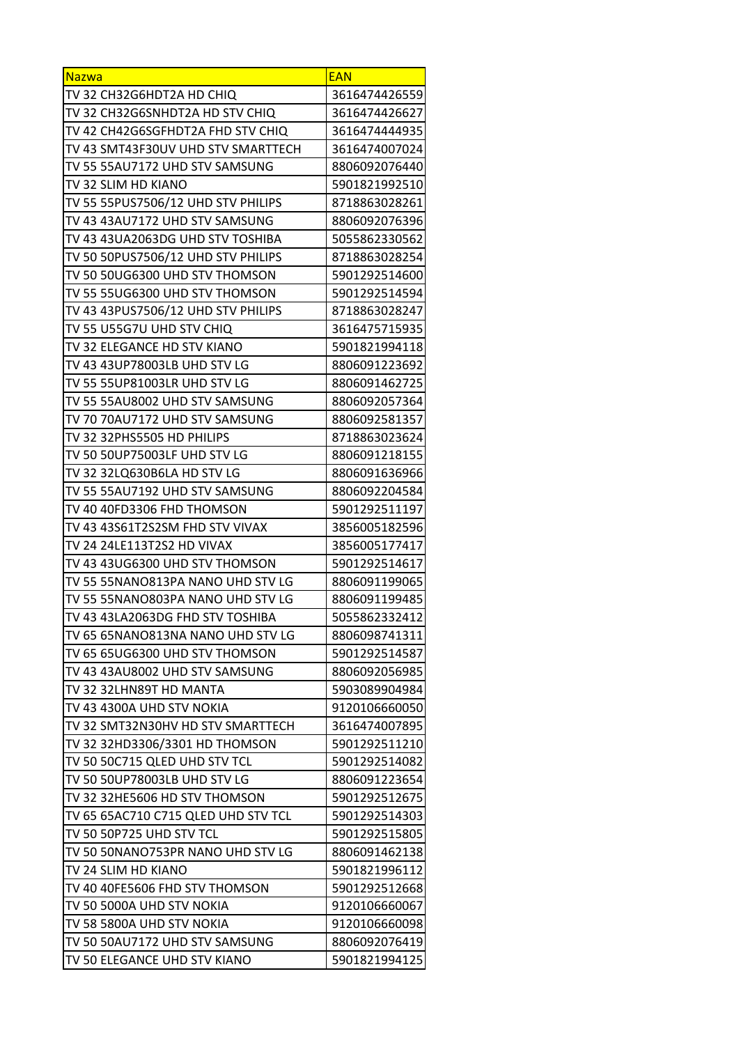| <b>Nazwa</b>                        | <b>EAN</b>    |
|-------------------------------------|---------------|
| TV 32 CH32G6HDT2A HD CHIQ           | 3616474426559 |
| TV 32 CH32G6SNHDT2A HD STV CHIQ     | 3616474426627 |
| TV 42 CH42G6SGFHDT2A FHD STV CHIQ   | 3616474444935 |
| TV 43 SMT43F30UV UHD STV SMARTTECH  | 3616474007024 |
| TV 55 55AU7172 UHD STV SAMSUNG      | 8806092076440 |
| TV 32 SLIM HD KIANO                 | 5901821992510 |
| TV 55 55PUS7506/12 UHD STV PHILIPS  | 8718863028261 |
| TV 43 43AU7172 UHD STV SAMSUNG      | 8806092076396 |
| TV 43 43UA2063DG UHD STV TOSHIBA    | 5055862330562 |
| TV 50 50PUS7506/12 UHD STV PHILIPS  | 8718863028254 |
| TV 50 50UG6300 UHD STV THOMSON      | 5901292514600 |
| TV 55 55UG6300 UHD STV THOMSON      | 5901292514594 |
| TV 43 43PUS7506/12 UHD STV PHILIPS  | 8718863028247 |
| TV 55 U55G7U UHD STV CHIQ           | 3616475715935 |
| TV 32 ELEGANCE HD STV KIANO         | 5901821994118 |
| TV 43 43UP78003LB UHD STV LG        | 8806091223692 |
| TV 55 55UP81003LR UHD STV LG        | 8806091462725 |
| TV 55 55AU8002 UHD STV SAMSUNG      | 8806092057364 |
| TV 70 70AU7172 UHD STV SAMSUNG      | 8806092581357 |
| TV 32 32PHS5505 HD PHILIPS          | 8718863023624 |
| TV 50 50UP75003LF UHD STV LG        | 8806091218155 |
| TV 32 32LQ630B6LA HD STV LG         | 8806091636966 |
| TV 55 55AU7192 UHD STV SAMSUNG      | 8806092204584 |
| TV 40 40FD3306 FHD THOMSON          | 5901292511197 |
| TV 43 43S61T2S2SM FHD STV VIVAX     | 3856005182596 |
| TV 24 24LE113T2S2 HD VIVAX          | 3856005177417 |
| TV 43 43UG6300 UHD STV THOMSON      | 5901292514617 |
| TV 55 55NANO813PA NANO UHD STV LG   | 8806091199065 |
| TV 55 55NANO803PA NANO UHD STV LG   | 8806091199485 |
| TV 43 43LA2063DG FHD STV TOSHIBA    | 5055862332412 |
| TV 65 65NANO813NA NANO UHD STV LG   | 8806098741311 |
| TV 65 65UG6300 UHD STV THOMSON      | 5901292514587 |
| TV 43 43AU8002 UHD STV SAMSUNG      | 8806092056985 |
| TV 32 32LHN89T HD MANTA             | 5903089904984 |
| TV 43 4300A UHD STV NOKIA           | 9120106660050 |
| TV 32 SMT32N30HV HD STV SMARTTECH   | 3616474007895 |
| TV 32 32HD3306/3301 HD THOMSON      | 5901292511210 |
| TV 50 50C715 QLED UHD STV TCL       | 5901292514082 |
| TV 50 50UP78003LB UHD STV LG        | 8806091223654 |
| TV 32 32HE5606 HD STV THOMSON       | 5901292512675 |
| TV 65 65AC710 C715 QLED UHD STV TCL | 5901292514303 |
| TV 50 50P725 UHD STV TCL            | 5901292515805 |
| TV 50 50NANO753PR NANO UHD STV LG   | 8806091462138 |
| TV 24 SLIM HD KIANO                 | 5901821996112 |
| TV 40 40FE5606 FHD STV THOMSON      | 5901292512668 |
| TV 50 5000A UHD STV NOKIA           | 9120106660067 |
| TV 58 5800A UHD STV NOKIA           | 9120106660098 |
| TV 50 50AU7172 UHD STV SAMSUNG      | 8806092076419 |
| TV 50 ELEGANCE UHD STV KIANO        | 5901821994125 |